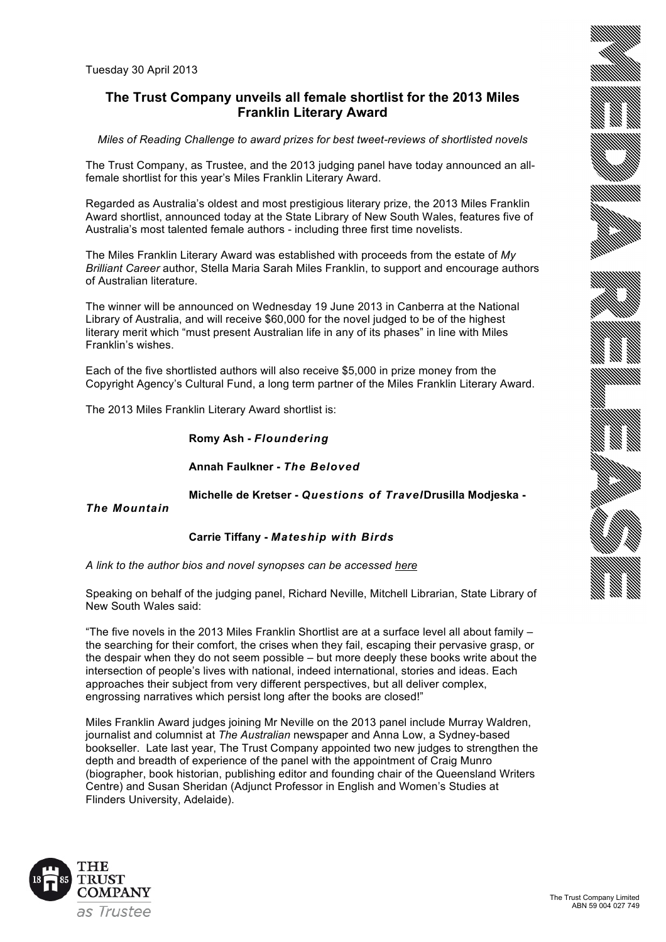# **The Trust Company unveils all female shortlist for the 2013 Miles Franklin Literary Award**

*Miles of Reading Challenge to award prizes for best tweet-reviews of shortlisted novels*

The Trust Company, as Trustee, and the 2013 judging panel have today announced an allfemale shortlist for this year's Miles Franklin Literary Award.

Regarded as Australia's oldest and most prestigious literary prize, the 2013 Miles Franklin Award shortlist, announced today at the State Library of New South Wales, features five of Australia's most talented female authors - including three first time novelists.

The Miles Franklin Literary Award was established with proceeds from the estate of *My Brilliant Career* author, Stella Maria Sarah Miles Franklin, to support and encourage authors of Australian literature.

The winner will be announced on Wednesday 19 June 2013 in Canberra at the National Library of Australia, and will receive \$60,000 for the novel judged to be of the highest literary merit which "must present Australian life in any of its phases" in line with Miles Franklin's wishes.

Each of the five shortlisted authors will also receive \$5,000 in prize money from the Copyright Agency's Cultural Fund, a long term partner of the Miles Franklin Literary Award.

The 2013 Miles Franklin Literary Award shortlist is:

**Romy Ash -** *Floundering*

**Annah Faulkner -** *The Beloved*

**Michelle de Kretser -** *Questions of Travel***Drusilla Modjeska -**

*The Mountain*

## **Carrie Tiffany -** *Mateship with Birds*

*A link to the author bios and novel synopses can be accessed here*

Speaking on behalf of the judging panel, Richard Neville, Mitchell Librarian, State Library of New South Wales said:

"The five novels in the 2013 Miles Franklin Shortlist are at a surface level all about family – the searching for their comfort, the crises when they fail, escaping their pervasive grasp, or the despair when they do not seem possible – but more deeply these books write about the intersection of people's lives with national, indeed international, stories and ideas. Each approaches their subject from very different perspectives, but all deliver complex, engrossing narratives which persist long after the books are closed!"

Miles Franklin Award judges joining Mr Neville on the 2013 panel include Murray Waldren, journalist and columnist at *The Australian* newspaper and Anna Low, a Sydney-based bookseller. Late last year, The Trust Company appointed two new judges to strengthen the depth and breadth of experience of the panel with the appointment of Craig Munro (biographer, book historian, publishing editor and founding chair of the Queensland Writers Centre) and Susan Sheridan (Adjunct Professor in English and Women's Studies at Flinders University, Adelaide).

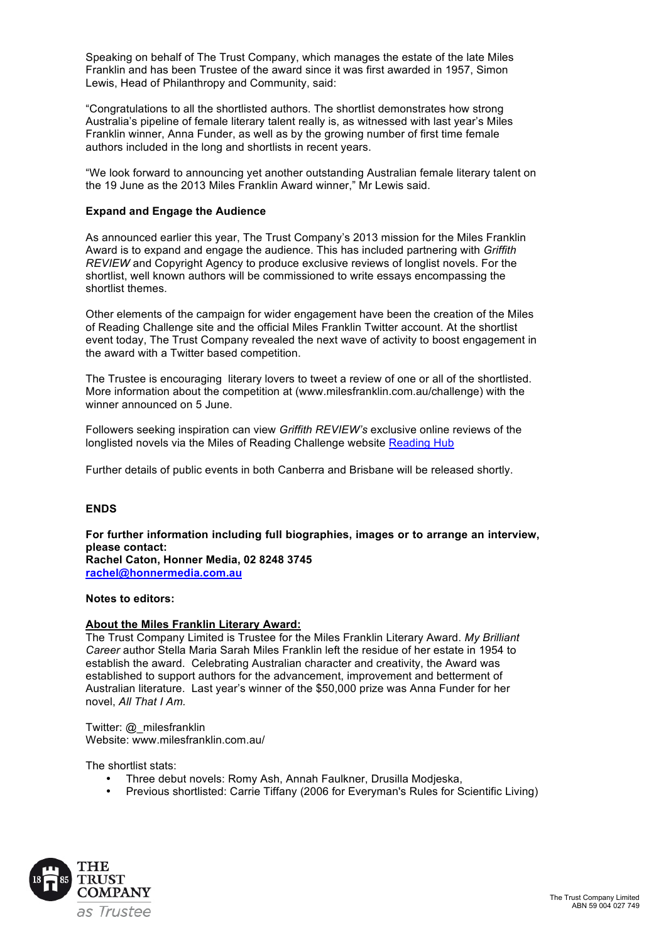Speaking on behalf of The Trust Company, which manages the estate of the late Miles Franklin and has been Trustee of the award since it was first awarded in 1957, Simon Lewis, Head of Philanthropy and Community, said:

"Congratulations to all the shortlisted authors. The shortlist demonstrates how strong Australia's pipeline of female literary talent really is, as witnessed with last year's Miles Franklin winner, Anna Funder, as well as by the growing number of first time female authors included in the long and shortlists in recent years.

"We look forward to announcing yet another outstanding Australian female literary talent on the 19 June as the 2013 Miles Franklin Award winner," Mr Lewis said.

#### **Expand and Engage the Audience**

As announced earlier this year, The Trust Company's 2013 mission for the Miles Franklin Award is to expand and engage the audience. This has included partnering with *Griffith REVIEW* and Copyright Agency to produce exclusive reviews of longlist novels. For the shortlist, well known authors will be commissioned to write essays encompassing the shortlist themes.

Other elements of the campaign for wider engagement have been the creation of the Miles of Reading Challenge site and the official Miles Franklin Twitter account. At the shortlist event today, The Trust Company revealed the next wave of activity to boost engagement in the award with a Twitter based competition.

The Trustee is encouraging literary lovers to tweet a review of one or all of the shortlisted. More information about the competition at (www.milesfranklin.com.au/challenge) with the winner announced on 5 June.

Followers seeking inspiration can view *Griffith REVIEW's* exclusive online reviews of the longlisted novels via the Miles of Reading Challenge website Reading Hub

Further details of public events in both Canberra and Brisbane will be released shortly.

### **ENDS**

**For further information including full biographies, images or to arrange an interview, please contact: Rachel Caton, Honner Media, 02 8248 3745 rachel@honnermedia.com.au**

#### **Notes to editors:**

#### **About the Miles Franklin Literary Award:**

The Trust Company Limited is Trustee for the Miles Franklin Literary Award. *My Brilliant Career* author Stella Maria Sarah Miles Franklin left the residue of her estate in 1954 to establish the award. Celebrating Australian character and creativity, the Award was established to support authors for the advancement, improvement and betterment of Australian literature. Last year's winner of the \$50,000 prize was Anna Funder for her novel, *All That I Am.*

Twitter: @\_milesfranklin Website: www.milesfranklin.com.au/

The shortlist stats:

- Three debut novels: Romy Ash, Annah Faulkner, Drusilla Modjeska,
- Previous shortlisted: Carrie Tiffany (2006 for Everyman's Rules for Scientific Living)